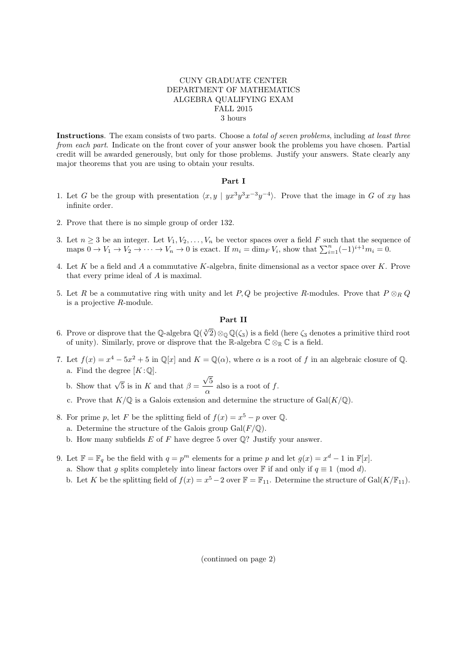## CUNY GRADUATE CENTER DEPARTMENT OF MATHEMATICS ALGEBRA QUALIFYING EXAM FALL 2015 3 hours

Instructions. The exam consists of two parts. Choose a *total of seven problems*, including at least three from each part. Indicate on the front cover of your answer book the problems you have chosen. Partial credit will be awarded generously, but only for those problems. Justify your answers. State clearly any major theorems that you are using to obtain your results.

## Part I

- 1. Let G be the group with presentation  $\langle x, y | yx^3y^3x^{-3}y^{-4} \rangle$ . Prove that the image in G of xy has infinite order.
- 2. Prove that there is no simple group of order 132.
- 3. Let  $n \geq 3$  be an integer. Let  $V_1, V_2, \ldots, V_n$  be vector spaces over a field F such that the sequence of maps  $0 \to V_1 \to V_2 \to \cdots \to V_n \to 0$  is exact. If  $m_i = \dim_F V_i$ , show that  $\sum_{i=1}^n (-1)^{i+1} m_i = 0$ .
- 4. Let K be a field and A a commutative K-algebra, finite dimensional as a vector space over K. Prove that every prime ideal of A is maximal.
- 5. Let R be a commutative ring with unity and let P, Q be projective R-modules. Prove that  $P \otimes_R Q$ is a projective R-module.

## Part II

- 6. Prove or disprove that the Q-algebra  $\mathbb{Q}(\sqrt[3]{2})\otimes_{\mathbb{Q}}\mathbb{Q}(\zeta_3)$  is a field (here  $\zeta_3$  denotes a primitive third root of unity). Similarly, prove or disprove that the R-algebra  $\mathbb{C} \otimes_{\mathbb{R}} \mathbb{C}$  is a field.
- 7. Let  $f(x) = x^4 5x^2 + 5$  in  $\mathbb{Q}[x]$  and  $K = \mathbb{Q}(\alpha)$ , where  $\alpha$  is a root of f in an algebraic closure of  $\mathbb{Q}$ . a. Find the degree  $[K:\mathbb{Q}]$ . √
	- b. Show that  $\sqrt{5}$  is in K and that  $\beta =$ 5  $\frac{\partial}{\partial \alpha}$  also is a root of f.
	- c. Prove that  $K/\mathbb{Q}$  is a Galois extension and determine the structure of  $Gal(K/\mathbb{Q})$ .
- 8. For prime p, let F be the splitting field of  $f(x) = x^5 p$  over Q.
	- a. Determine the structure of the Galois group  $Gal(F/\mathbb{Q})$ .
	- b. How many subfields  $E$  of  $F$  have degree 5 over  $\mathbb{Q}$ ? Justify your answer.
- 9. Let  $\mathbb{F} = \mathbb{F}_q$  be the field with  $q = p^m$  elements for a prime p and let  $g(x) = x^d 1$  in  $\mathbb{F}[x]$ .
	- a. Show that g splits completely into linear factors over F if and only if  $q \equiv 1 \pmod{d}$ .
	- b. Let K be the splitting field of  $f(x) = x^5 2$  over  $\mathbb{F} = \mathbb{F}_{11}$ . Determine the structure of Gal $(K/\mathbb{F}_{11})$ .

(continued on page 2)